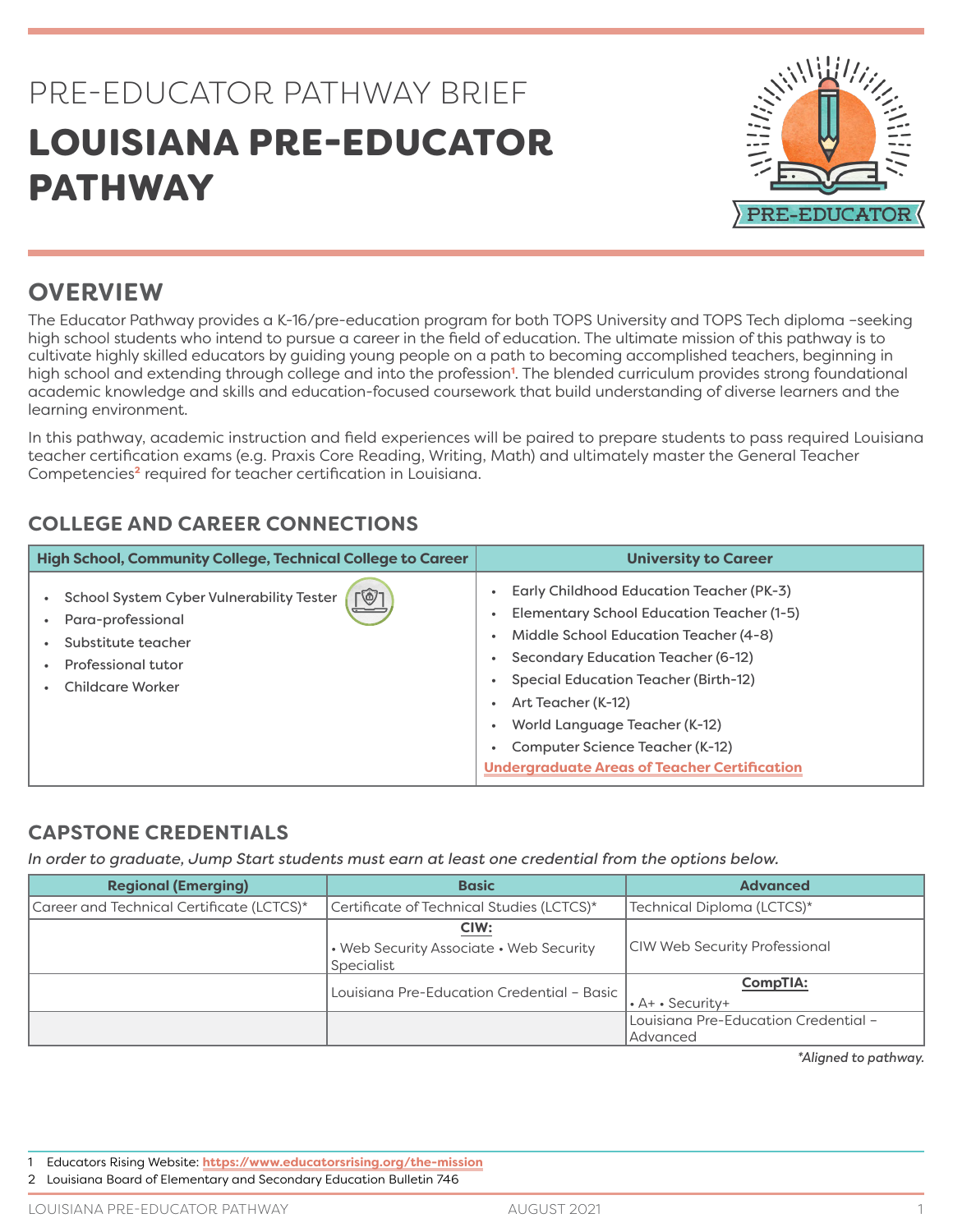## PRE-EDUCATOR PATHWAY BRIEF LOUISIANA PRE-EDUCATOR **PATHWAY**



## **OVERVIEW**

The Educator Pathway provides a K-16/pre-education program for both TOPS University and TOPS Tech diploma –seeking high school students who intend to pursue a career in the field of education. The ultimate mission of this pathway is to cultivate highly skilled educators by guiding young people on a path to becoming accomplished teachers, beginning in high school and extending through college and into the profession<sup>1</sup>. The blended curriculum provides strong foundational academic knowledge and skills and education-focused coursework that build understanding of diverse learners and the learning environment.

In this pathway, academic instruction and field experiences will be paired to prepare students to pass required Louisiana teacher certification exams (e.g. Praxis Core Reading, Writing, Math) and ultimately master the General Teacher Competencies<sup>2</sup> required for teacher certification in Louisiana.

## **COLLEGE AND CAREER CONNECTIONS**

| High School, Community College, Technical College to Career                                                                                                     | <b>University to Career</b>                                                                                                                                                                                                                                                                                                                                          |
|-----------------------------------------------------------------------------------------------------------------------------------------------------------------|----------------------------------------------------------------------------------------------------------------------------------------------------------------------------------------------------------------------------------------------------------------------------------------------------------------------------------------------------------------------|
| $\lceil \circledS \rceil$<br>School System Cyber Vulnerability Tester<br>=<br>Para-professional<br>Substitute teacher<br>Professional tutor<br>Childcare Worker | Early Childhood Education Teacher (PK-3)<br><b>Elementary School Education Teacher (1-5)</b><br>Middle School Education Teacher (4-8)<br>Secondary Education Teacher (6-12)<br>Special Education Teacher (Birth-12)<br>Art Teacher (K-12)<br>World Language Teacher (K-12)<br>Computer Science Teacher (K-12)<br><b>Undergraduate Areas of Teacher Certification</b> |

## **CAPSTONE CREDENTIALS**

*In order to graduate, Jump Start students must earn at least one credential from the options below.*

| <b>Regional (Emerging)</b>                | <b>Basic</b>                                                  | <b>Advanced</b>                                  |  |
|-------------------------------------------|---------------------------------------------------------------|--------------------------------------------------|--|
| Career and Technical Certificate (LCTCS)* | Certificate of Technical Studies (LCTCS)*                     | Technical Diploma (LCTCS)*                       |  |
|                                           | CIW:<br>• Web Security Associate • Web Security<br>Specialist | <b>CIW Web Security Professional</b>             |  |
|                                           | Louisiana Pre-Education Credential - Basic                    | <b>CompTIA:</b><br>$\cdot$ A+ $\cdot$ Security+  |  |
|                                           |                                                               | Louisiana Pre-Education Credential -<br>Advanced |  |

*\*Aligned to pathway.*

1 Educators Rising Website: **<https://www.educatorsrising.org/the-mission>**

2 Louisiana Board of Elementary and Secondary Education Bulletin 746

LOUISIANA PRE-EDUCATOR PATHWAY **AUGUST 2021** AUGUST 2021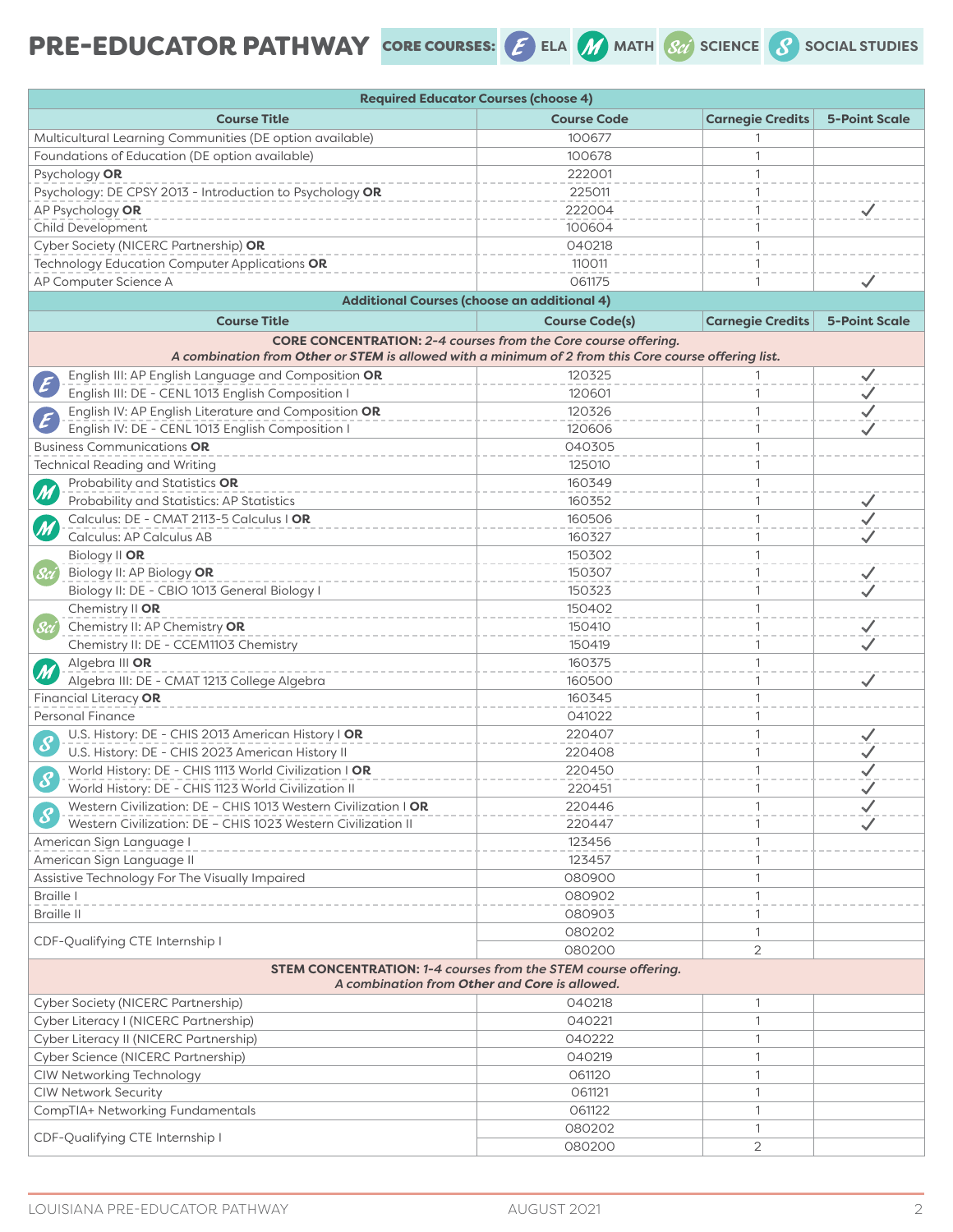